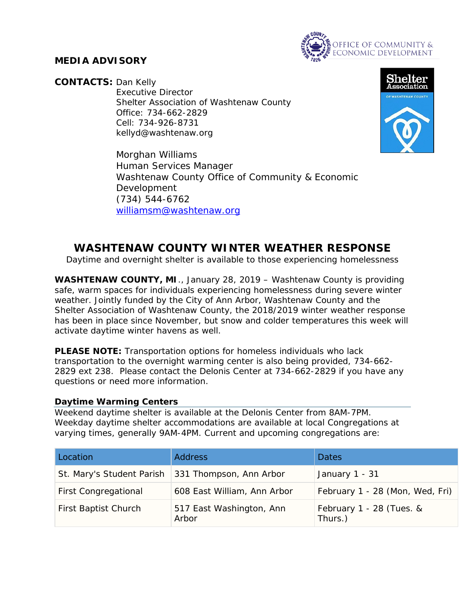

## **MEDIA ADVISORY**

**CONTACTS:** Dan Kelly

Executive Director Shelter Association of Washtenaw County Office: 734-662-2829 Cell: 734-926-8731 kellyd@washtenaw.org



Morghan Williams Human Services Manager Washtenaw County Office of Community & Economic Development (734) 544-6762 [williamsm@washtenaw.org](mailto:williamsm@washtenaw.org)

# **WASHTENAW COUNTY WINTER WEATHER RESPONSE**

*Daytime and overnight shelter is available to those experiencing homelessness*

**WASHTENAW COUNTY, MI**., January 28, 2019 – Washtenaw County is providing safe, warm spaces for individuals experiencing homelessness during severe winter weather. Jointly funded by the City of Ann Arbor, Washtenaw County and the Shelter Association of Washtenaw County, the 2018/2019 winter weather response has been in place since November, but snow and colder temperatures this week will activate daytime winter havens as well.

**PLEASE NOTE:** Transportation options for homeless individuals who lack transportation to the overnight warming center is also being provided, 734-662- 2829 ext 238. Please contact the Delonis Center at 734-662-2829 if you have any questions or need more information.

#### **Daytime Warming Centers**

Weekend daytime shelter is available at the Delonis Center from 8AM-7PM. Weekday daytime shelter accommodations are available at local Congregations at varying times, generally 9AM-4PM. Current and upcoming congregations are:

| Location                    | <b>Address</b>                    | <b>Dates</b>                        |
|-----------------------------|-----------------------------------|-------------------------------------|
| St. Mary's Student Parish   | 331 Thompson, Ann Arbor           | January 1 - 31                      |
| <b>First Congregational</b> | 608 East William, Ann Arbor       | February 1 - 28 (Mon, Wed, Fri)     |
| First Baptist Church        | 517 East Washington, Ann<br>Arbor | February 1 - 28 (Tues. &<br>Thurs.) |